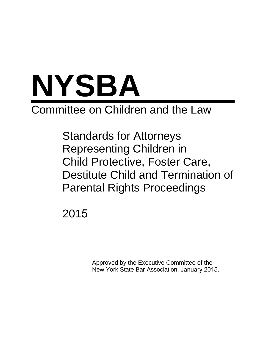

# Committee on Children and the Law

Standards for Attorneys Representing Children in Child Protective, Foster Care, Destitute Child and Termination of Parental Rights Proceedings

2015

Approved by the Executive Committee of the New York State Bar Association, January 2015.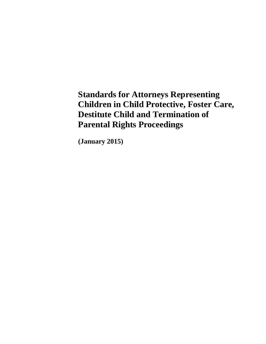**Standards for Attorneys Representing Children in Child Protective, Foster Care, Destitute Child and Termination of Parental Rights Proceedings**

**(January 2015)**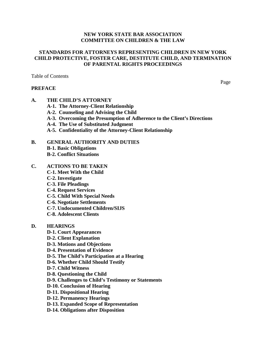## **NEW YORK STATE BAR ASSOCIATION COMMITTEE ON CHILDREN & THE LAW**

# **STANDARDS FOR ATTORNEYS REPRESENTING CHILDREN IN NEW YORK CHILD PROTECTIVE, FOSTER CARE, DESTITUTE CHILD, AND TERMINATION OF PARENTAL RIGHTS PROCEEDINGS**

Table of Contents

## **PREFACE**

Page

# **A. THE CHILD'S ATTORNEY**

- **A-1. The Attorney-Client Relationship**
- **A-2. Counseling and Advising the Child**
- **A-3. Overcoming the Presumption of Adherence to the Client's Directions**
- **A-4. The Use of Substituted Judgment**
- **A-5. Confidentiality of the Attorney-Client Relationship**

## **B. GENERAL AUTHORITY AND DUTIES**

- **B-1. Basic Obligations**
- **B-2. Conflict Situations**

# **C. ACTIONS TO BE TAKEN**

- **C-1. Meet With the Child**
- **C-2. Investigate**
- **C-3. File Pleadings**
- **C-4. Request Services**
- **C-5. Child With Special Needs**
- **C-6. Negotiate Settlements**
- **C-7. Undocumented Children/SIJS**
- **C-8. Adolescent Clients**

## **D. HEARINGS**

- **D-1. Court Appearances**
- **D-2. Client Explanation**
- **D-3. Motions and Objections**
- **D-4. Presentation of Evidence**
- **D-5. The Child's Participation at a Hearing**
- **D-6. Whether Child Should Testify**
- **D-7. Child Witness**
- **D-8. Questioning the Child**
- **D-9. Challenges to Child's Testimony or Statements**
- **D-10. Conclusion of Hearing**
- **D-11. Dispositional Hearing**
- **D-12. Permanency Hearings**
- **D-13. Expanded Scope of Representation**
- **D-14. Obligations after Disposition**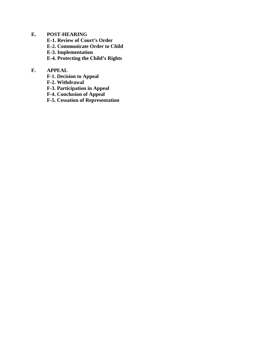**E. POST-HEARING E-1. Review of Court's Order E-2. Communicate Order to Child E-3. Implementation E-4. Protecting the Child's Rights**

# **F. APPEAL**

- **F-1. Decision to Appeal**
- **F-2. Withdrawal**
- **F-3. Participation in Appeal**
- **F-4. Conclusion of Appeal**
- **F-5. Cessation of Representation**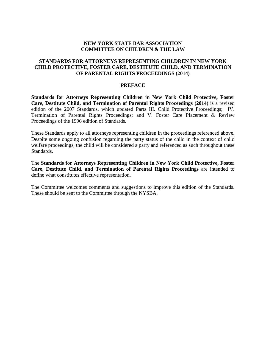# **NEW YORK STATE BAR ASSOCIATION COMMITTEE ON CHILDREN & THE LAW**

# **STANDARDS FOR ATTORNEYS REPRESENTING CHILDREN IN NEW YORK CHILD PROTECTIVE, FOSTER CARE, DESTITUTE CHILD, AND TERMINATION OF PARENTAL RIGHTS PROCEEDINGS (2014)**

#### **PREFACE**

**Standards for Attorneys Representing Children in New York Child Protective, Foster Care, Destitute Child, and Termination of Parental Rights Proceedings (2014)** is a revised edition of the 2007 Standards, which updated Parts III. Child Protective Proceedings; IV. Termination of Parental Rights Proceedings; and V. Foster Care Placement & Review Proceedings of the 1996 edition of Standards.

These Standards apply to all attorneys representing children in the proceedings referenced above. Despite some ongoing confusion regarding the party status of the child in the context of child welfare proceedings, the child will be considered a party and referenced as such throughout these Standards.

The **Standards for Attorneys Representing Children in New York Child Protective, Foster Care, Destitute Child, and Termination of Parental Rights Proceedings** are intended to define what constitutes effective representation.

The Committee welcomes comments and suggestions to improve this edition of the Standards. These should be sent to the Committee through the NYSBA.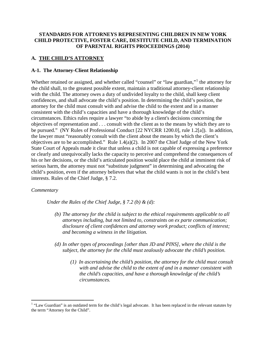# **STANDARDS FOR ATTORNEYS REPRESENTING CHILDREN IN NEW YORK CHILD PROTECTIVE, FOSTER CARE, DESTITUTE CHILD, AND TERMINATION OF PARENTAL RIGHTS PROCEEDINGS (2014)**

# **A. THE CHILD'S ATTORNEY**

# **A-1. The Attorney-Client Relationship**

Whether retained or assigned, and whether called "counsel" or "law guardian,"<sup>[1](#page-8-0)</sup> the attorney for the child shall, to the greatest possible extent, maintain a traditional attorney-client relationship with the child. The attorney owes a duty of undivided loyalty to the child, shall keep client confidences, and shall advocate the child's position. In determining the child's position, the attorney for the child must consult with and advise the child to the extent and in a manner consistent with the child's capacities and have a thorough knowledge of the child's circumstances. Ethics rules require a lawyer "to abide by a client's decisions concerning the objectives of representation and . . . consult with the client as to the means by which they are to be pursued." (NY Rules of Professional Conduct [22 NYCRR 1200.0], rule 1.2[a]).In addition, the lawyer must "reasonably consult with the client about the means by which the client's objectives are to be accomplished." Rule 1.4(a)(2). In 2007 the Chief Judge of the New York State Court of Appeals made it clear that unless a child is not capable of expressing a preference or clearly and unequivocally lacks the capacity to perceive and comprehend the consequences of his or her decisions, or the child's articulated position would place the child at imminent risk of serious harm, the attorney must not "substitute judgment" in determining and advocating the child's position, even if the attorney believes that what the child wants is not in the child's best interests. Rules of the Chief Judge, § 7.2.

## *Commentary*

*Under the Rules of the Chief Judge, § 7.2 (b) & (d):*

- *(b) The attorney for the child is subject to the ethical requirements applicable to all attorneys including, but not limited to, constraints on ex parte communication; disclosure of client confidences and attorney work product; conflicts of interest; and becoming a witness in the litigation.*
- *(d) In other types of proceedings [other than JD and PINS], where the child is the subject, the attorney for the child must zealously advocate the child's position.*
	- *(1) In ascertaining the child's position, the attorney for the child must consult with and advise the child to the extent of and in a manner consistent with the child's capacities, and have a thorough knowledge of the child's circumstances.*

<span id="page-8-0"></span> $1$  "Law Guardian" is an outdated term for the child's legal advocate. It has been replaced in the relevant statutes by the term "Attorney for the Child".  $\overline{a}$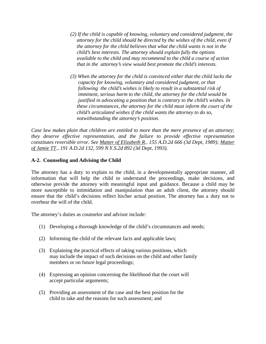- *(2) If the child is capable of knowing, voluntary and considered judgment, the attorney for the child should be directed by the wishes of the child, even if the attorney for the child believes that what the child wants is not in the child's best interests. The attorney should explain fully the options available to the child and may recommend to the child a course of action that in the attorney's view would best promote the child's interests.*
- *(3) When the attorney for the child is convinced either that the child lacks the capacity for knowing, voluntary and considered judgment, or that following the child's wishes is likely to result in a substantial risk of imminent, serious harm to the child, the attorney for the child would be justified in advocating a position that is contrary to the child's wishes. In these circumstances, the attorney for the child must inform the court of the child's articulated wishes if the child wants the attorney to do so, notwithstanding the attorney's position.*

*Case law makes plain that children are entitled to more than the mere presence of an attorney; they deserve effective representation, and the failure to provide effective representation constitutes reversible error. See Matter of Elizabeth R., 155 A.D.2d 666 (3d Dept, 1989); Matter of Jamie TT., 191 A.D.2d 132, 599 N.Y.S.2d 892 (3d Dept, 1993).*

# **A-2. Counseling and Advising the Child**

The attorney has a duty to explain to the child, in a developmentally appropriate manner, all information that will help the child to understand the proceedings, make decisions, and otherwise provide the attorney with meaningful input and guidance. Because a child may be more susceptible to intimidation and manipulation than an adult client, the attorney should ensure that the child's decisions reflect his/her actual position. The attorney has a duty not to overbear the will of the child.

The attorney's duties as counselor and advisor include:

- (1) Developing a thorough knowledge of the child's circumstances and needs;
- (2) Informing the child of the relevant facts and applicable laws;
- (3) Explaining the practical effects of taking various positions, which may include the impact of such decisions on the child and other family members or on future legal proceedings;
- (4) Expressing an opinion concerning the likelihood that the court will accept particular arguments;
- (5) Providing an assessment of the case and the best position for the child to take and the reasons for such assessment; and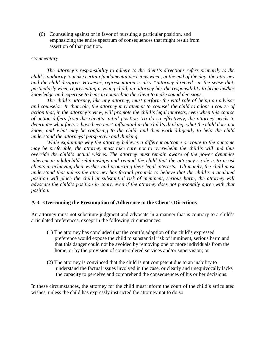(6) Counseling against or in favor of pursuing a particular position, and emphasizing the entire spectrum of consequences that might result from assertion of that position.

#### *Commentary*

*The attorney's responsibility to adhere to the client's directions refers primarily to the child's authority to make certain fundamental decisions when, at the end of the day, the attorney and the child disagree. However, representation is also "attorney-directed" in the sense that, particularly when representing a young child, an attorney has the responsibility to bring his/her knowledge and expertise to bear in counseling the client to make sound decisions.*

*The child's attorney, like any attorney, must perform the vital role of being an advisor and counselor. In that role, the attorney may attempt to counsel the child to adopt a course of action that, in the attorney's view, will promote the child's legal interests, even when this course of action differs from the client's initial position. To do so effectively, the attorney needs to determine what factors have been most influential in the child's thinking, what the child does not know, and what may be confusing to the child, and then work diligently to help the child understand the attorneys' perspective and thinking.*

*While explaining why the attorney believes a different outcome or route to the outcome may be preferable, the attorney must take care not to overwhelm the child's will and thus override the child's actual wishes. The attorney must remain aware of the power dynamics inherent in adult/child relationships and remind the child that the attorney's role is to assist clients in achieving their wishes and protecting their legal interests. Ultimately, the child must understand that unless the attorney has factual grounds to believe that the child's articulated position will place the child at substantial risk of imminent, serious harm, the attorney will advocate the child's position in court, even if the attorney does not personally agree with that position.*

## **A-3. Overcoming the Presumption of Adherence to the Client's Directions**

An attorney must not substitute judgment and advocate in a manner that is contrary to a child's articulated preferences, except in the following circumstances:

- (1) The attorney has concluded that the court's adoption of the child's expressed preference would expose the child to substantial risk of imminent, serious harm and that this danger could not be avoided by removing one or more individuals from the home, or by the provision of court-ordered services and/or supervision; or
- (2) The attorney is convinced that the child is not competent due to an inability to understand the factual issues involved in the case, or clearly and unequivocally lacks the capacity to perceive and comprehend the consequences of his or her decisions.

In these circumstances, the attorney for the child must inform the court of the child's articulated wishes, unless the child has expressly instructed the attorney not to do so.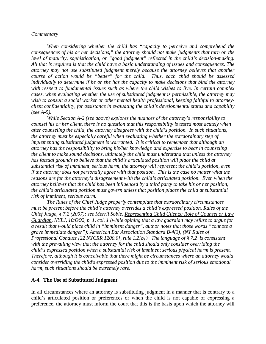#### *Commentary*

*When considering whether the child has "capacity to perceive and comprehend the consequences of his or her decisions," the attorney should not make judgments that turn on the level of maturity, sophistication, or "good judgment" reflected in the child's decision-making. All that is required is that the child have a basic understanding of issues and consequences. The attorney may not use substituted judgment merely because the attorney believes that another course of action would be "better" for the child. Thus, each child should be assessed individually to determine if he or she has the capacity to make decisions that bind the attorney with respect to fundamental issues such as where the child wishes to live. In certain complex cases, when evaluating whether the use of substituted judgment is permissible, the attorney may wish to consult a social worker or other mental health professional, keeping faithful to attorneyclient confidentiality, for assistance in evaluating the child's developmental status and capability (see A-5).*

*While Section A-2 (see above) explores the nuances of the attorney's responsibility to counsel his or her client, there is no question that this responsibility is tested most acutely when after counseling the child, the attorney disagrees with the child's position. In such situations, the attorney must be especially careful when evaluating whether the extraordinary step of implementing substituted judgment is warranted. It is critical to remember that although an attorney has the responsibility to bring his/her knowledge and expertise to bear in counseling the client to make sound decisions, ultimately the child must understand that unless the attorney has factual grounds to believe that the child's articulated position will place the child at substantial risk of imminent, serious harm, the attorney will represent the child's position, even if the attorney does not personally agree with that position. This is the case no matter what the reasons are for the attorney's disagreement with the child's articulated position. Even when the attorney believes that the child has been influenced by a third party to take his or her position, the child's articulated position must govern unless that position places the child at substantial risk of imminent, serious harm.*

*The Rules of the Chief Judge properly contemplate that extraordinary circumstances must be present before the child's attorney overrides a child's expressed position. Rules of the Chief Judge, § 7.2 (2007); see Merril Sobie, Representing Child Clients: Role of Counsel or Law Guardian, NYLJ, 10/6/92, p. 1, col. 1 (while opining that a law guardian may refuse to argue for a result that would place child in "imminent danger", author notes that those words "connote a grave immediate danger"); American Bar Association Standard B-4(3), (NY Rules of Professional Conduct [22 NYCRR 1200.0], rule 1.2[b]). The language of § 7.2 is consistent with the prevailing view that the attorney for the child should only consider overriding the child's expressed position when a substantial risk of imminent serious physical harm is present. Therefore, although it is conceivable that there might be circumstances where an attorney would consider overriding the child's expressed position due to the imminent risk of serious emotional harm, such situations should be extremely rare.*

#### **A-4. The Use of Substituted Judgment**

In all circumstances where an attorney is substituting judgment in a manner that is contrary to a child's articulated position or preferences or when the child is not capable of expressing a preference, the attorney must inform the court that this is the basis upon which the attorney will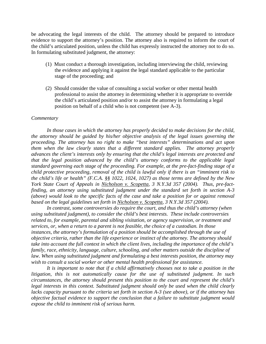be advocating the legal interests of the child. The attorney should be prepared to introduce evidence to support the attorney's position. The attorney also is required to inform the court of the child's articulated position, unless the child has expressly instructed the attorney not to do so. In formulating substituted judgment, the attorney:

- (1) Must conduct a thorough investigation, including interviewing the child, reviewing the evidence and applying it against the legal standard applicable to the particular stage of the proceeding; and
- (2) Should consider the value of consulting a social worker or other mental health professional to assist the attorney in determining whether it is appropriate to override the child's articulated position and/or to assist the attorney in formulating a legal position on behalf of a child who is not competent (see A-3).

#### *Commentary*

*In those cases in which the attorney has properly decided to make decisions for the child, the attorney should be guided by his/her objective analysis of the legal issues governing the proceeding. The attorney has no right to make "best interests" determinations and act upon them when the law clearly states that a different standard applies. The attorney properly advances the client's interests only by ensuring that the child's legal interests are protected and that the legal position advanced by the child's attorney conforms to the applicable legal standard governing each stage of the proceeding. For example, at the pre-fact-finding stage of a child protective proceeding, removal of the child is lawful only if there is an "imminent risk to the child's life or health" (F.C.A. §§ 1022, 1024, 1027) as those terms are defined by the New York State Court of Appeals in Nicholson v. Scopetta, 3 N.Y.3d 357 (2004). Thus, pre-factfinding, an attorney using substituted judgment under the standard set forth in section A-3 (above) would look to the specific facts of the case and take a position for or against removal based on the legal guidelines set forth in Nicholson v. Scopetta, 3 N.Y.3d 357 (2004).*

*In contrast, some controversies do require the court, and thus the child's attorney (when using substituted judgment), to consider the child's best interests. These include controversies related to, for example, parental and sibling visitation, or agency supervision, or treatment and services, or, when a return to a parent is not feasible, the choice of a custodian. In those instances, the attorney's formulation of a position should be accomplished through the use of objective criteria, rather than the life experience or instinct of the attorney. The attorney should take into account the full context in which the client lives, including the importance of the child's family, race, ethnicity, language, culture, schooling, and other matters outside the discipline of law. When using substituted judgment and formulating a best interests position, the attorney may wish to consult a social worker or other mental health professional for assistance.*

*It is important to note that if a child affirmatively chooses not to take a position in the litigation, this is not automatically cause for the use of substituted judgment. In such circumstances, the attorney should present this position to the court and represent the child's legal interests in this context. Substituted judgment should only be used when the child clearly lacks capacity pursuant to the criteria set forth in section A-3 (see above), or if the attorney has objective factual evidence to support the conclusion that a failure to substitute judgment would expose the child to imminent risk of serious harm.*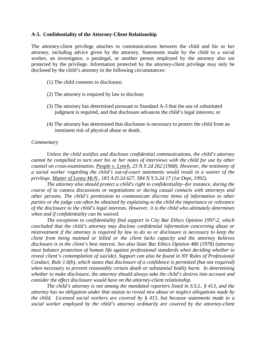#### **A-5. Confidentiality of the Attorney-Client Relationship**

The attorney-client privilege attaches to communications between the child and his or her attorney, including advice given by the attorney. Statements made by the child to a social worker, an investigator, a paralegal, or another person employed by the attorney also are protected by the privilege. Information protected by the attorney-client privilege may only be disclosed by the child's attorney in the following circumstances:

- (1) The child consents to disclosure;
- (2) The attorney is required by law to disclose;
- (3) The attorney has determined pursuant to Standard A-3 that the use of substituted judgment is required, and that disclosure advances the child's legal interests; or
- (4) The attorney has determined that disclosure is necessary to protect the child from an imminent risk of physical abuse or death.

## *Commentary*

*Unless the child testifies and discloses confidential communications, the child's attorney cannot be compelled to turn over his or her notes of interviews with the child for use by other counsel on cross-examination. People v. Lynch, 23 N.Y.2d 262 (1968). However, the testimony of a social worker regarding the child's out-of-court statements would result in a waiver of the privilege. Matter of Lenny McN., 183 A.D.2d 627, 584 N.Y.S.2d 17 (1st Dept, 1992*).

*The attorney also should protect a child's right to confidentiality--for instance, during the course of* in camera *discussions or negotiations or during casual contacts with attorneys and other persons. The child's permission to communicate discrete items of information to other parties or the judge can often be obtained by explaining to the child the importance or relevance of the disclosure to the child's legal interests. However, it is the child who ultimately determines when and if confidentiality can be waived.*

*The exceptions to confidentiality find support in City Bar Ethics Opinion 1997-2, which concluded that the child's attorney may disclose confidential information concerning abuse or mistreatment if the attorney is required by law to do so or disclosure is necessary to keep the client from being maimed or killed or the client lacks capacity and the attorney believes disclosure is in the client's best interest. See also State Bar Ethics Opinion 486 (1978) (attorney must balance protection of human life against professional standards when deciding whether to reveal client's contemplation of suicide). Support can also be found in NY Rules of Professional Conduct, Rule 1.6(b), which states that disclosure of a confidence is permitted (but not required) when necessary to prevent reasonably certain death or substantial bodily harm. In determining whether to make disclosure, the attorney should always take the child's desires into account and consider the effect disclosure would have on the attorney-client relationship.*

*The child's attorney is not among the mandated reporters listed in S.S.L. § 413, and the attorney has no obligation under that statute to reveal new abuse or neglect allegations made by the child. Licensed social workers are covered by § 413, but because statements made to a social worker employed by the child's attorney ordinarily are covered by the attorney-client*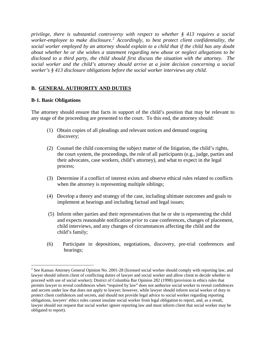*privilege, there is substantial controversy with respect to whether § 413 requires a social worker-employee to make disclosure.[2](#page-14-0) Accordingly, to best protect client confidentiality, the social worker employed by an attorney should explain to a child that if the child has any doubt about whether he or she wishes a statement regarding new abuse or neglect allegations to be disclosed to a third party, the child should first discuss the situation with the attorney. The social worker and the child's attorney should arrive at a joint decision concerning a social worker's § 413 disclosure obligations before the social worker interviews any child.* 

# **B. GENERAL AUTHORITY AND DUTIES**

# **B-1. Basic Obligations**

 $\overline{a}$ 

The attorney should ensure that facts in support of the child's position that may be relevant to any stage of the proceeding are presented to the court. To this end, the attorney should:

- (1) Obtain copies of all pleadings and relevant notices and demand ongoing discovery;
- (2) Counsel the child concerning the subject matter of the litigation, the child's rights, the court system, the proceedings, the role of all participants (e.g., judge, parties and their advocates, case workers, child's attorney), and what to expect in the legal process;
- (3) Determine if a conflict of interest exists and observe ethical rules related to conflicts when the attorney is representing multiple siblings;
- (4) Develop a theory and strategy of the case, including ultimate outcomes and goals to implement at hearings and including factual and legal issues;
- (5) Inform other parties and their representatives that he or she is representing the child and expects reasonable notification *prior* to case conferences, changes of placement, child interviews, and any changes of circumstances affecting the child and the child's family;
- (6) Participate in depositions, negotiations, discovery, pre-trial conferences and hearings;

<span id="page-14-0"></span> $2^2$  See Kansas Attorney General Opinion No. 2001-28 (licensed social worker should comply with reporting law, and lawyer should inform client of conflicting duties of lawyer and social worker and allow client to decide whether to proceed with use of social worker); District of Columbia Bar Opinion 282 (1998) (provision in ethics rules that permits lawyer to reveal confidences when "required by law" does not authorize social worker to reveal confidences and secrets under law that does not apply to lawyer; however, while lawyer should inform social worker of duty to protect client confidences and secrets, and should not provide legal advice to social worker regarding reporting obligations, lawyers' ethics rules cannot insulate social worker from legal obligation to report, and, as a result, lawyer should not request that social worker ignore reporting law and must inform client that social worker may be obligated to report).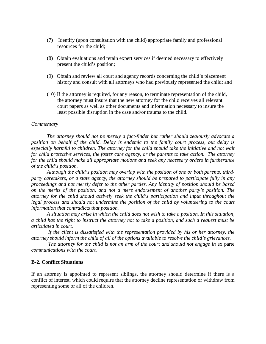- (7) Identify (upon consultation with the child) appropriate family and professional resources for the child;
- (8) Obtain evaluations and retain expert services if deemed necessary to effectively present the child's position;
- (9) Obtain and review all court and agency records concerning the child's placement history and consult with all attorneys who had previously represented the child; and
- (10) If the attorney is required, for any reason, to terminate representation of the child, the attorney must insure that the new attorney for the child receives all relevant court papers as well as other documents and information necessary to insure the least possible disruption in the case and/or trauma to the child.

#### *Commentary*

*The attorney should not be merely a fact-finder but rather should zealously advocate a position on behalf of the child. Delay is endemic to the family court process, but delay is especially harmful to children. The attorney for the child should take the initiative and not wait for child protective services, the foster care agency, or the parents to take action. The attorney for the child should make all appropriate motions and seek any necessary orders in furtherance of the child's position.*

*Although the child's position may overlap with the position of one or both parents, thirdparty caretakers, or a state agency, the attorney should be prepared to participate fully in any proceedings and not merely defer to the other parties. Any identity of position should be based on the merits of the position, and not a mere endorsement of another party's position. The attorney for the child should actively seek the child's participation and input throughout the*  legal process and should not undermine the position of the child by volunteering to the court *information that contradicts that position.*

*A situation may arise in which the child does not wish to take a position. In this situation, a child has the right to instruct the attorney not to take a position, and such a request must be articulated in court.*

*If the client is dissatisfied with the representation provided by his or her attorney, the attorney should inform the child of all of the options available to resolve the child's grievances.*

*The attorney for the child is not an arm of the court and should not engage in ex parte communications with the court.*

#### **B-2. Conflict Situations**

If an attorney is appointed to represent siblings, the attorney should determine if there is a conflict of interest, which could require that the attorney decline representation or withdraw from representing some or all of the children.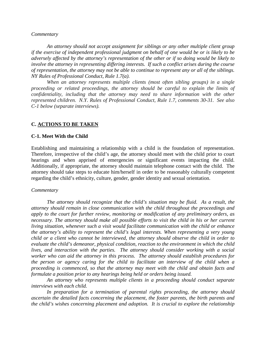#### *Commentary*

*An attorney should not accept assignment for siblings or any other multiple client group if the exercise of independent professional judgment on behalf of one would be or is likely to be adversely affected by the attorney's representation of the other or if so doing would be likely to involve the attorney in representing differing interests. If such a conflict arises during the course of representation, the attorney may not be able to continue to represent any or all of the siblings. NY Rules of Professional Conduct, Rule 1.7(a).*

*When an attorney represents multiple clients (most often sibling groups) in a single proceeding or related proceedings, the attorney should be careful to explain the limits of confidentiality, including that the attorney may need to share information with the other represented children. N.Y. Rules of Professional Conduct, Rule 1.7, comments 30-31. See also C-1 below (separate interviews).*

#### **C. ACTIONS TO BE TAKEN**

#### **C-1. Meet With the Child**

Establishing and maintaining a relationship with a child is the foundation of representation. Therefore, irrespective of the child's age, the attorney should meet with the child prior to court hearings and when apprised of emergencies or significant events impacting the child. Additionally, if appropriate, the attorney should maintain telephone contact with the child. The attorney should take steps to educate him/herself in order to be reasonably culturally competent regarding the child's ethnicity, culture, gender, gender identity and sexual orientation.

#### *Commentary*

*The attorney should recognize that the child's situation may be fluid. As a result, the attorney should remain in close communication with the child throughout the proceedings and apply to the court for further review, monitoring or modification of any preliminary orders, as necessary. The attorney should make all possible efforts to visit the child in his or her current living situation, whenever such a visit would facilitate communication with the child or enhance the attorney's ability to represent the child's legal interests. When representing a very young child or a client who cannot be interviewed, the attorney should observe the child in order to evaluate the child's demeanor, physical condition, reaction to the environment in which the child lives, and interaction with the parties. The attorney should consider working with a social worker who can aid the attorney in this process. The attorney should establish procedures for the person or agency caring for the child to facilitate an interview of the child when a proceeding is commenced, so that the attorney may meet with the child and obtain facts and formulate a position prior to any hearings being held or orders being issued.*

*An attorney who represents multiple clients in a proceeding should conduct separate interviews with each child.*

*In preparation for a termination of parental rights proceeding, the attorney should ascertain the detailed facts concerning the placement, the foster parents, the birth parents and the child's wishes concerning placement and adoption. It is crucial to explore the relationship*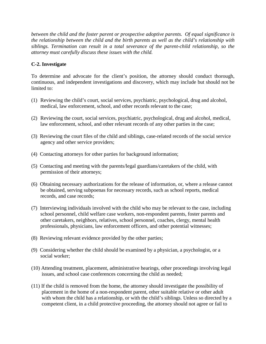*between the child and the foster parent or prospective adoptive parents. Of equal significance is the relationship between the child and the birth parents as well as the child's relationship with siblings. Termination can result in a total severance of the parent-child relationship, so the attorney must carefully discuss these issues with the child.*

# **C-2. Investigate**

To determine and advocate for the client's position, the attorney should conduct thorough, continuous, and independent investigations and discovery, which may include but should not be limited to:

- (1) Reviewing the child's court, social services, psychiatric, psychological, drug and alcohol, medical, law enforcement, school, and other records relevant to the case;
- (2) Reviewing the court, social services, psychiatric, psychological, drug and alcohol, medical, law enforcement, school, and other relevant records of any other parties in the case;
- (3) Reviewing the court files of the child and siblings, case-related records of the social service agency and other service providers;
- (4) Contacting attorneys for other parties for background information;
- (5) Contacting and meeting with the parents/legal guardians/caretakers of the child, with permission of their attorneys;
- (6) Obtaining necessary authorizations for the release of information, or, where a release cannot be obtained, serving subpoenas for necessary records, such as school reports, medical records, and case records;
- (7) Interviewing individuals involved with the child who may be relevant to the case, including school personnel, child welfare case workers, non-respondent parents, foster parents and other caretakers, neighbors, relatives, school personnel, coaches, clergy, mental health professionals, physicians, law enforcement officers, and other potential witnesses;
- (8) Reviewing relevant evidence provided by the other parties;
- (9) Considering whether the child should be examined by a physician, a psychologist, or a social worker;
- (10) Attending treatment, placement, administrative hearings, other proceedings involving legal issues, and school case conferences concerning the child as needed;
- (11) If the child is removed from the home, the attorney should investigate the possibility of placement in the home of a non-respondent parent, other suitable relative or other adult with whom the child has a relationship, or with the child's siblings. Unless so directed by a competent client, in a child protective proceeding, the attorney should not agree or fail to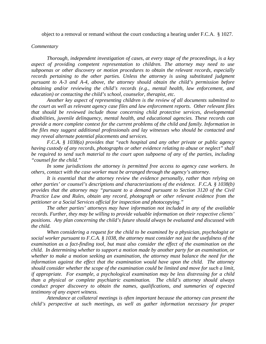object to a removal or remand without the court conducting a hearing under F.C.A. § 1027.

#### *Commentary*

*Thorough, independent investigation of cases, at every stage of the proceedings, is a key aspect of providing competent representation to children. The attorney may need to use subpoenas or other discovery or motion procedures to obtain the relevant records, especially records pertaining to the other parties. Unless the attorney is using substituted judgment pursuant to A-3 and A-4, above, the attorney should obtain the child's permission before obtaining and/or reviewing the child's records (e.g., mental health, law enforcement, and education) or contacting the child's school, counselor, therapist, etc.*

*Another key aspect of representing children is the review of all documents submitted to the court as well as relevant agency case files and law enforcement reports. Other relevant files that should be reviewed include those concerning child protective services, developmental disabilities, juvenile delinquency, mental health, and educational agencies. These records can provide a more complete context for the current problems of the child and family. Information in the files may suggest additional professionals and lay witnesses who should be contacted and may reveal alternate potential placements and services.*

*F.C.A. § 1038(a) provides that "each hospital and any other private or public agency having custody of any records, photographs or other evidence relating to abuse or neglect" shall be required to send such material to the court upon subpoena of any of the parties, including "counsel for the child."*

*In some jurisdictions the attorney is permitted free access to agency case workers. In others, contact with the case worker must be arranged through the agency's attorney.*

*It is essential that the attorney review the evidence personally, rather than relying on other parties' or counsel's descriptions and characterizations of the evidence. F.C.A. § 1038(b) provides that the attorney may "pursuant to a demand pursuant to Section 3120 of the Civil Practice Law and Rules, obtain any record, photograph or other relevant evidence from the petitioner or a Social Services official for inspection and photocopying."*

*The other parties' attorneys may have information not included in any of the available records. Further, they may be willing to provide valuable information on their respective clients' positions. Any plan concerning the child's future should always be evaluated and discussed with the child.*

*When considering a request for the child to be examined by a physician, psychologist or social worker pursuant to F.C.A. § 1038, the attorney must consider not just the usefulness of the examination as a fact-finding tool, but must also consider the effect of the examination on the child. In determining whether to support a motion made by another party for an examination, or whether to make a motion seeking an examination, the attorney must balance the need for the information against the effect that the examination would have upon the child. The attorney should consider whether the scope of the examination could be limited and move for such a limit, if appropriate. For example, a psychological examination may be less distressing for a child than a physical or complete psychiatric examination. The child's attorney should always conduct proper discovery to obtain the names, qualifications, and summaries of expected testimony of any expert witness.* 

*Attendance at collateral meetings is often important because the attorney can present the child's perspective at such meetings, as well as gather information necessary for proper*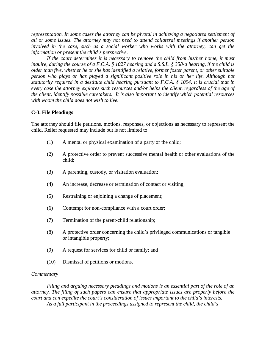*representation. In some cases the attorney can be pivotal in achieving a negotiated settlement of all or some issues. The attorney may not need to attend collateral meetings if another person involved in the case, such as a social worker who works with the attorney, can get the information or present the child's perspective.*

*If the court determines it is necessary to remove the child from his/her home, it must inquire, during the course of a F.C.A. § 1027 hearing and a S.S.L. § 358-a hearing, if the child is older than five, whether he or she has identified a relative, former foster parent, or other suitable person who plays or has played a significant positive role in his or her life. Although not statutorily required in a destitute child hearing pursuant to F.C.A. § 1094, it is crucial that in every case the attorney explores such resources and/or helps the client, regardless of the age of the client, identify possible caretakers. It is also important to identify which potential resources with whom the child does not wish to live.*

# **C-3. File Pleadings**

The attorney should file petitions, motions, responses, or objections as necessary to represent the child. Relief requested may include but is not limited to:

- (1) A mental or physical examination of a party or the child;
- (2) A protective order to prevent successive mental health or other evaluations of the child;
- (3) A parenting, custody, or visitation evaluation;
- (4) An increase, decrease or termination of contact or visiting;
- (5) Restraining or enjoining a change of placement;
- (6) Contempt for non-compliance with a court order;
- (7) Termination of the parent-child relationship;
- (8) A protective order concerning the child's privileged communications or tangible or intangible property;
- (9) A request for services for child or family; and
- (10) Dismissal of petitions or motions.

#### *Commentary*

*Filing and arguing necessary pleadings and motions is an essential part of the role of an attorney. The filing of such papers can ensure that appropriate issues are properly before the court and can expedite the court's consideration of issues important to the child's interests. As a full participant in the proceedings assigned to represent the child, the child's*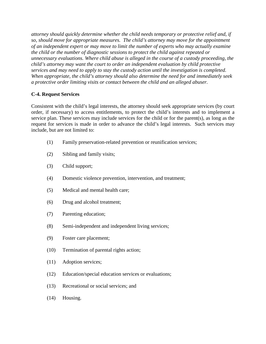*attorney should quickly determine whether the child needs temporary or protective relief and, if so, should move for appropriate measures. The child's attorney may move for the appointment of an independent expert or may move to limit the number of experts who may actually examine the child or the number of diagnostic sessions to protect the child against repeated or unnecessary evaluations. Where child abuse is alleged in the course of a custody proceeding, the child's attorney may want the court to order an independent evaluation by child protective services and may need to apply to stay the custody action until the investigation is completed. When appropriate, the child's attorney should also determine the need for and immediately seek a protective order limiting visits or contact between the child and an alleged abuser.* 

# **C-4. Request Services**

Consistent with the child's legal interests, the attorney should seek appropriate services (by court order, if necessary) to access entitlements, to protect the child's interests and to implement a service plan. These services may include services for the child or for the parent(s), as long as the request for services is made in order to advance the child's legal interests. Such services may include, but are not limited to:

- (1) Family preservation-related prevention or reunification services;
- (2) Sibling and family visits;
- (3) Child support;
- (4) Domestic violence prevention, intervention, and treatment;
- (5) Medical and mental health care;
- (6) Drug and alcohol treatment;
- (7) Parenting education;
- (8) Semi-independent and independent living services;
- (9) Foster care placement;
- (10) Termination of parental rights action;
- (11) Adoption services;
- (12) Education/special education services or evaluations;
- (13) Recreational or social services; and
- (14) Housing.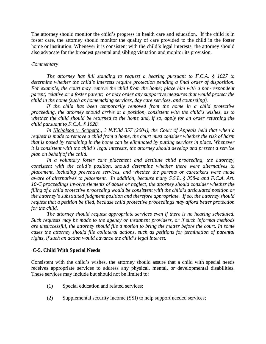The attorney should monitor the child's progress in health care and education. If the child is in foster care, the attorney should monitor the quality of care provided to the child in the foster home or institution. Whenever it is consistent with the child's legal interests, the attorney should also advocate for the broadest parental and sibling visitation and monitor its provision.

#### *Commentary*

*The attorney has full standing to request a hearing pursuant to F.C.A. § 1027 to determine whether the child's interests require protection pending a final order of disposition. For example, the court may remove the child from the home; place him with a non-respondent parent, relative or a foster parent; or may order any supportive measures that would protect the child in the home (such as homemaking services, day care services, and counseling).*

*If the child has been temporarily removed from the home in a child protective proceeding, the attorney should arrive at a position, consistent with the child's wishes, as to whether the child should be returned to the home and, if so, apply for an order returning the child pursuant to F.C.A. § 1028.* 

*In Nicholson v. Scopetta., 3 N.Y.3d 357 (2004), the Court of Appeals held that when a request is made to remove a child from a home, the court must consider whether the risk of harm that is posed by remaining in the home can be eliminated by putting services in place. Whenever it is consistent with the child's legal interests, the attorney should develop and present a service plan on behalf of the child.* 

*In a voluntary foster care placement and destitute child proceeding, the attorney, consistent with the child's position, should determine whether there were alternatives to placement, including preventive services, and whether the parents or caretakers were made aware of alternatives to placement. In addition, because many S.S.L. § 358-a and F.C.A. Art. 10-C proceedings involve elements of abuse or neglect, the attorney should consider whether the filing of a child protective proceeding would be consistent with the child's articulated position or the attorney's substituted judgment position and therefore appropriate. If so, the attorney should request that a petition be filed, because child protective proceedings may afford better protection for the child.*

*The attorney should request appropriate services even if there is no hearing scheduled. Such requests may be made to the agency or treatment providers, or if such informal methods are unsuccessful, the attorney should file a motion to bring the matter before the court. In some cases the attorney should file collateral actions, such as petitions for termination of parental rights, if such an action would advance the child's legal interest.* 

## **C-5. Child With Special Needs**

Consistent with the child's wishes, the attorney should assure that a child with special needs receives appropriate services to address any physical, mental, or developmental disabilities. These services may include but should not be limited to:

- (1) Special education and related services;
- (2) Supplemental security income (SSI) to help support needed services;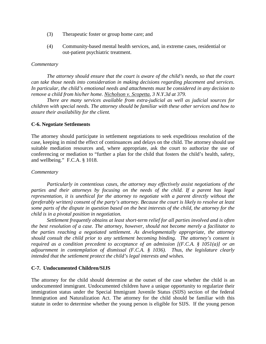- (3) Therapeutic foster or group home care; and
- (4) Community-based mental health services, and, in extreme cases, residential or out-patient psychiatric treatment.

#### *Commentary*

*The attorney should ensure that the court is aware of the child's needs, so that the court can take those needs into consideration in making decisions regarding placement and services. In particular, the child's emotional needs and attachments must be considered in any decision to remove a child from his/her home. Nicholson v. Scopetta, 3 N.Y.3d at 379.* 

*There are many services available from extra-judicial as well as judicial sources for children with special needs. The attorney should be familiar with these other services and how to assure their availability for the client.* 

#### **C-6. Negotiate Settlements**

The attorney should participate in settlement negotiations to seek expeditious resolution of the case, keeping in mind the effect of continuances and delays on the child. The attorney should use suitable mediation resources and, where appropriate, ask the court to authorize the use of conferencing or mediation to "further a plan for the child that fosters the child's health, safety, and wellbeing." F.C.A. § 1018.

#### *Commentary*

*Particularly in contentious cases, the attorney may effectively assist negotiations of the parties and their attorneys by focusing on the needs of the child. If a parent has legal representation, it is unethical for the attorney to negotiate with a parent directly without the (preferably written) consent of the party's attorney. Because the court is likely to resolve at least some parts of the dispute in question based on the best interests of the child, the attorney for the child is in a pivotal position in negotiation.*

*Settlement frequently obtains at least short-term relief for all parties involved and is often the best resolution of a case. The attorney, however, should not become merely a facilitator to the parties reaching a negotiated settlement. As developmentally appropriate, the attorney should consult the child prior to any settlement becoming binding. The attorney's consent is required as a condition precedent to acceptance of an admission [(F.C.A. § 1051(a)] or an adjournment in contemplation of dismissal (F.C.A. § 1036). Thus, the legislature clearly intended that the settlement protect the child's legal interests and wishes.*

#### **C-7. Undocumented Children/SIJS**

The attorney for the child should determine at the outset of the case whether the child is an undocumented immigrant. Undocumented children have a unique opportunity to regularize their immigration status under the Special Immigrant Juvenile Status (SIJS) section of the federal Immigration and Naturalization Act. The attorney for the child should be familiar with this statute in order to determine whether the young person is eligible for SIJS. If the young person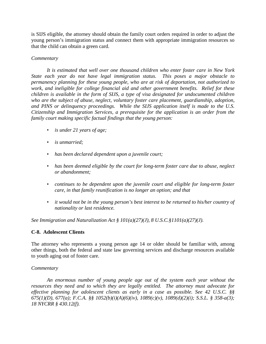is SIJS eligible, the attorney should obtain the family court orders required in order to adjust the young person's immigration status and connect them with appropriate immigration resources so that the child can obtain a green card.

# *Commentary*

*It is estimated that well over one thousand children who enter foster care in New York State each year do not have legal immigration status. This poses a major obstacle to permanency planning for these young people, who are at risk of deportation, not authorized to work, and ineligible for college financial aid and other government benefits. Relief for these children is available in the form of SIJS, a type of visa designated for undocumented children who are the subject of abuse, neglect, voluntary foster care placement, guardianship, adoption, and PINS or delinquency proceedings. While the SIJS application itself is made to the U.S. Citizenship and Immigration Services, a prerequisite for the application is an order from the family court making specific factual findings that the young person:*

- *is under 21 years of age;*
- *is unmarried;*
- *has been declared dependent upon a juvenile court;*
- *has been deemed eligible by the court for long-term foster care due to abuse, neglect or abandonment;*
- *continues to be dependent upon the juvenile court and eligible for long-term foster care, in that family reunification is no longer an option; and that*
- *it would not be in the young person's best interest to be returned to his/her country of nationality or last residence.*

*See Immigration and Naturalization Act § 101(a)(27)(J), 8 U.S.C.§1101(a)(27)(J).*

# **C-8. Adolescent Clients**

The attorney who represents a young person age 14 or older should be familiar with, among other things, both the federal and state law governing services and discharge resources available to youth aging out of foster care.

# *Commentary*

*An enormous number of young people age out of the system each year without the resources they need and to which they are legally entitled. The attorney must advocate for effective planning for adolescent clients as early in a case as possible. See 42 U.S.C. §§ 675(1)(D), 677(a); F.C.A. §§ 1052(b)(i)(A)(6)(iv), 1089(c)(v), 1089(d)(2)(i); S.S.L. § 358-a(3); 18 NYCRR § 430.12(f).*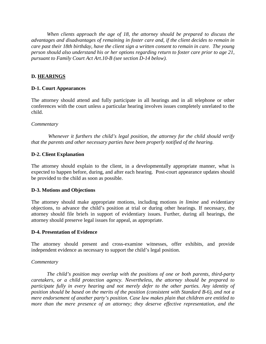*When clients approach the age of 18, the attorney should be prepared to discuss the advantages and disadvantages of remaining in foster care and, if the client decides to remain in care past their 18th birthday, have the client sign a written consent to remain in care. The young person should also understand his or her options regarding return to foster care prior to age 21, pursuant to Family Court Act Art.10-B (see section D-14 below).* 

# **D. HEARINGS**

# **D-1. Court Appearances**

The attorney should attend and fully participate in all hearings and in all telephone or other conferences with the court unless a particular hearing involves issues completely unrelated to the child.

## *Commentary*

*Whenever it furthers the child's legal position, the attorney for the child should verify that the parents and other necessary parties have been properly notified of the hearing.*

## **D-2. Client Explanation**

The attorney should explain to the client, in a developmentally appropriate manner, what is expected to happen before, during, and after each hearing. Post-court appearance updates should be provided to the child as soon as possible.

## **D-3. Motions and Objections**

The attorney should make appropriate motions, including motions *in limine* and evidentiary objections, to advance the child's position at trial or during other hearings. If necessary, the attorney should file briefs in support of evidentiary issues. Further, during all hearings, the attorney should preserve legal issues for appeal, as appropriate.

## **D-4. Presentation of Evidence**

The attorney should present and cross-examine witnesses, offer exhibits, and provide independent evidence as necessary to support the child's legal position.

## *Commentary*

*The child's position may overlap with the positions of one or both parents, third-party caretakers, or a child protection agency. Nevertheless, the attorney should be prepared to participate fully in every hearing and not merely defer to the other parties. Any identity of position should be based on the merits of the position (consistent with Standard B-6), and not a mere endorsement of another party's position. Case law makes plain that children are entitled to more than the mere presence of an attorney; they deserve effective representation, and the*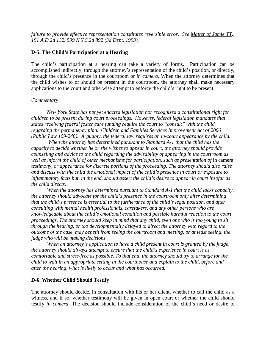*failure to provide effective representation constitutes reversible error. See Matter of Jamie TT., 191 A.D.2d 132. 599 N.Y.S.2d 892 (3d Dept, 1993).*

# **D-5. The Child's Participation at a Hearing**

The child's participation at a hearing can take a variety of forms. Participation can be accomplished indirectly, through the attorney's representation of the child's position, or directly, through the child's presence in the courtroom or *in camera*. When the attorney determines that the child wishes to or should be present in the courtroom, the attorney shall make necessary applications to the court and otherwise attempt to enforce the child's right to be present.

## *Commentary*

*New York State has not yet enacted legislation nor recognized a constitutional right for children to be present during court proceedings. However, federal legislation mandates that states receiving federal foster care funding require the court to "consult" with the child regarding the permanency plan. Children and Families Services Improvement Act of 2006 (Public Law 109-248). Arguably, the federal law requires an in-court appearance by the child.*

*When the attorney has determined pursuant to Standard A-1 that the child has the capacity to decide whether he or she wishes to appear in court, the attorney should provide counseling and advice to the child regarding the advisability of appearing in the courtroom as*  well as inform the child of other mechanisms for participation, such as presentation of in camera *testimony, or appearance for discrete portions of the proceeding. The attorney should also raise and discuss with the child the emotional impact of the child's presence in court or exposure to inflammatory facts but, in the end, should assert the child's desire to appear in court insofar as the child directs.* 

*When the attorney has determined pursuant to Standard A-1 that the child lacks capacity, the attorney should advocate for the child's presence in the courtroom only after determining that the child's presence is essential to the furtherance of the child's legal position, and after consulting with mental health professionals, caretakers, and any other persons who are knowledgeable about the child's emotional condition and possible harmful reaction to the court proceedings. The attorney should keep in mind that any child, even one who is too young to sit through the hearing, or too developmentally delayed to direct the attorney with regard to the outcome of the case, may benefit from seeing the courtroom and meeting, or at least seeing, the judge who will be making decisions.* 

*When an attorney's application to have a child present in court is granted by the judge, the attorney should always attempt to ensure that the child's experience in court is as comfortable and stress-free as possible. To that end, the attorney should try to arrange for the child to wait in an appropriate setting in the courthouse and explain to the child, before and after the hearing, what is likely to occur and what has occurred.* 

## **D-6. Whether Child Should Testify**

The attorney should decide, in consultation with his or her client, whether to call the child as a witness, and if so, whether testimony will be given in open court or whether the child should testify *in camera*. The decision should include consideration of the child's need or desire to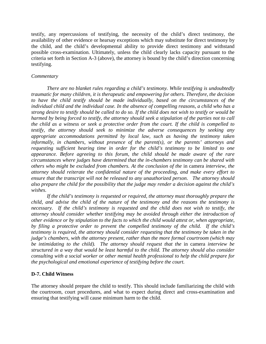testify, any repercussions of testifying, the necessity of the child's direct testimony, the availability of other evidence or hearsay exceptions which may substitute for direct testimony by the child, and the child's developmental ability to provide direct testimony and withstand possible cross-examination. Ultimately, unless the child clearly lacks capacity pursuant to the criteria set forth in Section A-3 (above), the attorney is bound by the child's direction concerning testifying.

## *Commentary*

*There are no blanket rules regarding a child's testimony. While testifying is undoubtedly traumatic for many children, it is therapeutic and empowering for others. Therefore, the decision to have the child testify should be made individually, based on the circumstances of the individual child and the individual case. In the absence of compelling reasons, a child who has a strong desire to testify should be called to do so. If the child does not wish to testify or would be harmed by being forced to testify, the attorney should seek a stipulation of the parties not to call the child as a witness or seek a protective order from the court. If the child is compelled to testify, the attorney should seek to minimize the adverse consequences by seeking any appropriate accommodations permitted by local law, such as having the testimony taken informally, in chambers, without presence of the parent(s), or the parents' attorneys and requesting sufficient hearing time in order for the child's testimony to be limited to one appearance. Before agreeing to this forum, the child should be made aware of the rare circumstances where judges have determined that the in-chambers testimony can be shared with others who might be excluded from chambers. At the conclusion of the* in camera *interview, the attorney should reiterate the confidential nature of the proceeding, and make every effort to ensure that the transcript will not be released to any unauthorized person. The attorney should also prepare the child for the possibility that the judge may render a decision against the child's wishes.*

*If the child's testimony is requested or required, the attorney must thoroughly prepare the child, and advise the child of the nature of the testimony and the reasons the testimony is necessary. If the child's testimony is requested and the child does not wish to testify, the attorney should consider whether testifying may be avoided through either the introduction of other evidence or by stipulation to the facts to which the child would attest or, when appropriate, by filing a protective order to prevent the compelled testimony of the child. If the child's testimony is required, the attorney should consider requesting that the testimony be taken in the judge's chambers, with the attorney present, rather than the more formal courtroom (which may be intimidating to the child). The attorney should request that the* in camera *interview be structured in a way that would be least harmful to the child. The attorney should also consider consulting with a social worker or other mental health professional to help the child prepare for the psychological and emotional experience of testifying before the court.*

# **D-7. Child Witness**

The attorney should prepare the child to testify. This should include familiarizing the child with the courtroom, court procedures, and what to expect during direct and cross-examination and ensuring that testifying will cause minimum harm to the child.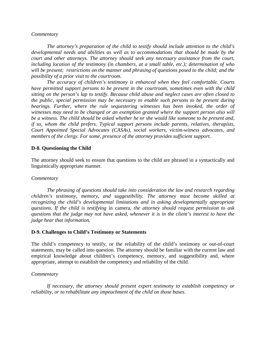#### *Commentary*

*The attorney's preparation of the child to testify should include attention to the child's developmental needs and abilities as well as to accommodations that should be made by the court and other attorneys. The attorney should seek any necessary assistance from the court, including location of the testimony (in chambers, at a small table, etc.); determination of who will be present; restrictions on the manner and phrasing of questions posed to the child; and the possibility of a prior visit to the courtroom.* 

*The accuracy of children's testimony is enhanced when they feel comfortable. Courts have permitted support persons to be present in the courtroom, sometimes even with the child sitting on the person's lap to testify. Because child abuse and neglect cases are often closed to the public, special permission may be necessary to enable such persons to be present during hearings. Further, where the rule sequestering witnesses has been invoked, the order of witnesses may need to be changed or an exemption granted where the support person also will be a witness. The child should be asked whether he or she would like someone to be present and, if so, whom the child prefers. Typical support persons include parents, relatives, therapists, Court Appointed Special Advocates (CASAs), social workers, victim-witness advocates, and members of the clergy. For some, presence of the attorney provides sufficient support.*

#### **D-8. Questioning the Child**

The attorney should seek to ensure that questions to the child are phrased in a syntactically and linguistically appropriate manner.

#### *Commentary*

*The phrasing of questions should take into consideration the law and research regarding children's testimony, memory, and suggestibility. The attorney must become skilled at recognizing the child's developmental limitations and in asking developmentally appropriate questions. If the child is testifying* in camera*, the attorney should request permission to ask questions that the judge may not have asked, whenever it is in the client's interest to have the judge hear that information.*

#### **D-9. Challenges to Child's Testimony or Statements**

The child's competency to testify, or the reliability of the child's testimony or out-of-court statements, may be called into question. The attorney should be familiar with the current law and empirical knowledge about children's competency, memory, and suggestibility and, where appropriate, attempt to establish the competency and reliability of the child.

#### *Commentary*

*If necessary, the attorney should present expert testimony to establish competency or reliability, or to rehabilitate any impeachment of the child on those bases.*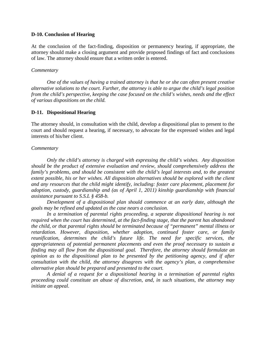#### **D-10. Conclusion of Hearing**

At the conclusion of the fact-finding, disposition or permanency hearing, if appropriate, the attorney should make a closing argument and provide proposed findings of fact and conclusions of law. The attorney should ensure that a written order is entered.

#### *Commentary*

*One of the values of having a trained attorney is that he or she can often present creative alternative solutions to the court. Further, the attorney is able to argue the child's legal position from the child's perspective, keeping the case focused on the child's wishes, needs and the effect of various dispositions on the child.*

## **D-11. Dispositional Hearing**

The attorney should, in consultation with the child, develop a dispositional plan to present to the court and should request a hearing, if necessary, to advocate for the expressed wishes and legal interests of his/her client.

## *Commentary*

*Only the child's attorney is charged with expressing the child's wishes. Any disposition should be the product of extensive evaluation and review, should comprehensively address the family's problems, and should be consistent with the child's legal interests and, to the greatest extent possible, his or her wishes. All disposition alternatives should be explored with the client and any resources that the child might identify, including: foster care placement, placement for adoption, custody, guardianship and (as of April 1, 2011) kinship guardianship with financial assistance pursuant to S.S.L § 458-b.*

*Development of a dispositional plan should commence at an early date, although the goals may be refined and updated as the case nears a conclusion.* 

*In a termination of parental rights proceeding, a separate dispositional hearing is not required when the court has determined, at the fact-finding stage, that the parent has abandoned the child, or that parental rights should be terminated because of "permanent" mental illness or retardation. However, disposition, whether adoption, continued foster care, or family reunification, determines the child's future life. The need for specific services, the appropriateness of potential permanent placements and even the proof necessary to sustain a finding may all flow from the dispositional goal. Therefore, the attorney should formulate an opinion as to the dispositional plan to be presented by the petitioning agency, and if after consultation with the child, the attorney disagrees with the agency's plan, a comprehensive alternative plan should be prepared and presented to the court.*

*A denial of a request for a dispositional hearing in a termination of parental rights proceeding could constitute an abuse of discretion, and, in such situations, the attorney may initiate an appeal.*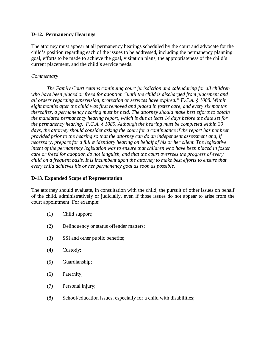# **D-12. Permanency Hearings**

The attorney must appear at all permanency hearings scheduled by the court and advocate for the child's position regarding each of the issues to be addressed, including the permanency planning goal, efforts to be made to achieve the goal, visitation plans, the appropriateness of the child's current placement, and the child's service needs.

# *Commentary*

*The Family Court retains continuing court jurisdiction and calendaring for all children who have been placed or freed for adoption "until the child is discharged from placement and all orders regarding supervision, protection or services have expired." F.C.A. § 1088. Within eight months after the child was first removed and placed in foster care, and every six months thereafter, a permanency hearing must be held. The attorney should make best efforts to obtain the mandated permanency hearing report, which is due at least 14 days before the date set for the permanency hearing. F.C.A. § 1089. Although the hearing must be completed within 30 days, the attorney should consider asking the court for a continuance if the report has not been provided prior to the hearing so that the attorney can do an independent assessment and, if necessary, prepare for a full evidentiary hearing on behalf of his or her client. The legislative intent of the permanency legislation was to ensure that children who have been placed in foster care or freed for adoption do not languish, and that the court oversees the progress of every child on a frequent basis. It is incumbent upon the attorney to make best efforts to ensure that every child achieves his or her permanency goal as soon as possible.*

# **D-13. Expanded Scope of Representation**

The attorney should evaluate, in consultation with the child, the pursuit of other issues on behalf of the child, administratively or judicially, even if those issues do not appear to arise from the court appointment. For example:

- (1) Child support;
- (2) Delinquency or status offender matters;
- (3) SSI and other public benefits;
- (4) Custody;
- (5) Guardianship;
- (6) Paternity;
- (7) Personal injury;
- (8) School/education issues, especially for a child with disabilities;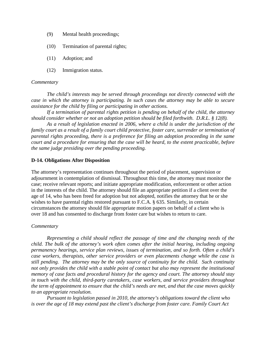- (9) Mental health proceedings;
- (10) Termination of parental rights;
- (11) Adoption; and
- (12) Immigration status.

#### *Commentary*

*The child's interests may be served through proceedings not directly connected with the case in which the attorney is participating. In such cases the attorney may be able to secure assistance for the child by filing or participating in other actions.* 

*If a termination of parental rights petition is pending on behalf of the child, the attorney should consider whether or not an adoption petition should be filed forthwith. D.R.L. § 12(8).* 

*As a result of legislation enacted in 2006, where a child is under the jurisdiction of the family court as a result of a family court child protective, foster care, surrender or termination of parental rights proceeding, there is a preference for filing an adoption proceeding in the same court and a procedure for ensuring that the case will be heard, to the extent practicable, before the same judge presiding over the pending proceeding.*

#### **D-14. Obligations After Disposition**

The attorney's representation continues throughout the period of placement, supervision or adjournment in contemplation of dismissal. Throughout this time, the attorney must monitor the case; receive relevant reports; and initiate appropriate modification, enforcement or other action in the interests of the child. The attorney should file an appropriate petition if a client over the age of 14, who has been freed for adoption but not adopted, notifies the attorney that he or she wishes to have parental rights restored pursuant to F.C.A. § 635. Similarly, in certain circumstances the attorney should file appropriate motion papers on behalf of a client who is over 18 and has consented to discharge from foster care but wishes to return to care.

#### *Commentary*

*Representing a child should reflect the passage of time and the changing needs of the child. The bulk of the attorney's work often comes after the initial hearing, including ongoing permanency hearings, service plan reviews, issues of termination, and so forth. Often a child's case workers, therapists, other service providers or even placements change while the case is still pending. The attorney may be the only source of continuity for the child. Such continuity not only provides the child with a stable point of contact but also may represent the institutional memory of case facts and procedural history for the agency and court. The attorney should stay in touch with the child, third-party caretakers, case workers, and service providers throughout the term of appointment to ensure that the child's needs are met, and that the case moves quickly to an appropriate resolution.*

*Pursuant to legislation passed in 2010, the attorney's obligations toward the client who is over the age of 18 may extend past the client's discharge from foster care. Family Court Act*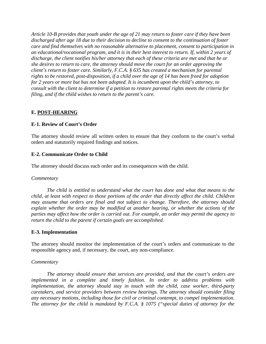*Article 10-B provides that youth under the age of 21 may return to foster care if they have been discharged after age 18 due to their decision to decline to consent to the continuation of foster care and find themselves with no reasonable alternative to placement, consent to participation in an educational/vocational program, and it is in their best interest to return. If, within 2 years of discharge, the client notifies his/her attorney that each of these criteria are met and that he or she desires to return to care, the attorney should move the court for an order approving the client's return to foster care. Similarly, F.C.A. § 635 has created a mechanism for parental rights to be restored, post-disposition, if a child over the age of 14 has been freed for adoption for 2 years or more but has not been adopted. It is incumbent upon the child's attorney, to consult with the client to determine if a petition to restore parental rights meets the criteria for filing, and if the child wishes to return to the parent's care.*

# **E. POST-HEARING**

# **E-1. Review of Court's Order**

The attorney should review all written orders to ensure that they conform to the court's verbal orders and statutorily required findings and notices.

# **E-2. Communicate Order to Child**

The attorney should discuss each order and its consequences with the child.

## *Commentary*

*The child is entitled to understand what the court has done and what that means to the child, at least with respect to those portions of the order that directly affect the child. Children may assume that orders are final and not subject to change. Therefore, the attorney should explain whether the order may be modified at another hearing, or whether the actions of the parties may affect how the order is carried out. For example, an order may permit the agency to return the child to the parent if certain goals are accomplished.*

## **E-3. Implementation**

The attorney should monitor the implementation of the court's orders and communicate to the responsible agency and, if necessary, the court, any non-compliance.

## *Commentary*

*The attorney should ensure that services are provided, and that the court's orders are implemented in a complete and timely fashion. In order to address problems with implementation, the attorney should stay in touch with the child, case worker, third-party caretakers, and service providers between review hearings. The attorney should consider filing any necessary motions, including those for civil or criminal contempt, to compel implementation. The attorney for the child is mandated by F.C.A. § 1075 ("special duties of attorney for the*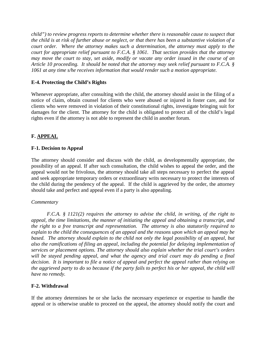*child") to review progress reports to determine whether there is reasonable cause to suspect that the child is at risk of further abuse or neglect, or that there has been a substantive violation of a court order. Where the attorney makes such a determination, the attorney must apply to the court for appropriate relief pursuant to F.C.A. § 1061. That section provides that the attorney may move the court to stay, set aside, modify or vacate any order issued in the course of an Article 10 proceeding. It should be noted that the attorney may seek relief pursuant to F.C.A. § 1061 at any time s/he receives information that would render such a motion appropriate.*

# **E-4. Protecting the Child's Rights**

Whenever appropriate, after consulting with the child, the attorney should assist in the filing of a notice of claim, obtain counsel for clients who were abused or injured in foster care, and for clients who were removed in violation of their constitutional rights, investigate bringing suit for damages for the client. The attorney for the child is obligated to protect all of the child's legal rights even if the attorney is not able to represent the child in another forum.

# **F. APPEAL**

# **F-1. Decision to Appeal**

The attorney should consider and discuss with the child, as developmentally appropriate, the possibility of an appeal. If after such consultation, the child wishes to appeal the order, and the appeal would not be frivolous, the attorney should take all steps necessary to perfect the appeal and seek appropriate temporary orders or extraordinary writs necessary to protect the interests of the child during the pendency of the appeal. If the child is aggrieved by the order, the attorney should take and perfect and appeal even if a party is also appealing.

# *Commentary*

*F.C.A. § 1121(2) requires the attorney to advise the child, in writing, of the right to appeal, the time limitations, the manner of initiating the appeal and obtaining a transcript, and the right to a free transcript and representation. The attorney is also statutorily required to explain to the child the consequences of an appeal and the reasons upon which an appeal may be based. The attorney should explain to the child not only the legal possibility of an appeal, but also the ramifications of filing an appeal, including the potential for delaying implementation of services or placement options. The attorney should also explain whether the trial court's orders will be stayed pending appeal, and what the agency and trial court may do pending a final decision. It is important to file a notice of appeal and perfect the appeal rather than relying on the aggrieved party to do so because if the party fails to perfect his or her appeal, the child will have no remedy.*

# **F-2. Withdrawal**

If the attorney determines he or she lacks the necessary experience or expertise to handle the appeal or is otherwise unable to proceed on the appeal, the attorney should notify the court and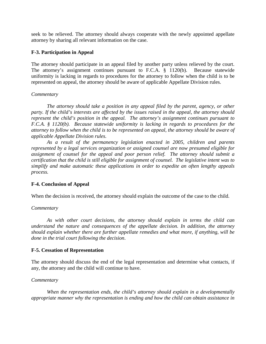seek to be relieved. The attorney should always cooperate with the newly appointed appellate attorney by sharing all relevant information on the case.

# **F-3. Participation in Appeal**

The attorney should participate in an appeal filed by another party unless relieved by the court. The attorney's assignment continues pursuant to F.C.A. § 1120(b). Because statewide uniformity is lacking in regards to procedures for the attorney to follow when the child is to be represented on appeal, the attorney should be aware of applicable Appellate Division rules.

## *Commentary*

*The attorney should take a position in any appeal filed by the parent, agency, or other party. If the child's interests are affected by the issues raised in the appeal, the attorney should represent the child's position in the appeal. The attorney's assignment continues pursuant to F.C.A. § 1120(b). Because statewide uniformity is lacking in regards to procedures for the attorney to follow when the child is to be represented on appeal, the attorney should be aware of applicable Appellate Division rules.*

*As a result of the permanency legislation enacted in 2005, children and parents represented by a legal services organization or assigned counsel are now presumed eligible for assignment of counsel for the appeal and poor person relief. The attorney should submit a certification that the child is still eligible for assignment of counsel. The legislative intent was to simplify and make automatic these applications in order to expedite an often lengthy appeals process.*

## **F-4. Conclusion of Appeal**

When the decision is received, the attorney should explain the outcome of the case to the child.

## *Commentary*

*As with other court decisions, the attorney should explain in terms the child can understand the nature and consequences of the appellate decision. In addition, the attorney should explain whether there are further appellate remedies and what more, if anything, will be done in the trial court following the decision*.

## **F-5. Cessation of Representation**

The attorney should discuss the end of the legal representation and determine what contacts, if any, the attorney and the child will continue to have.

#### *Commentary*

*When the representation ends, the child's attorney should explain in a developmentally appropriate manner why the representation is ending and how the child can obtain assistance in*